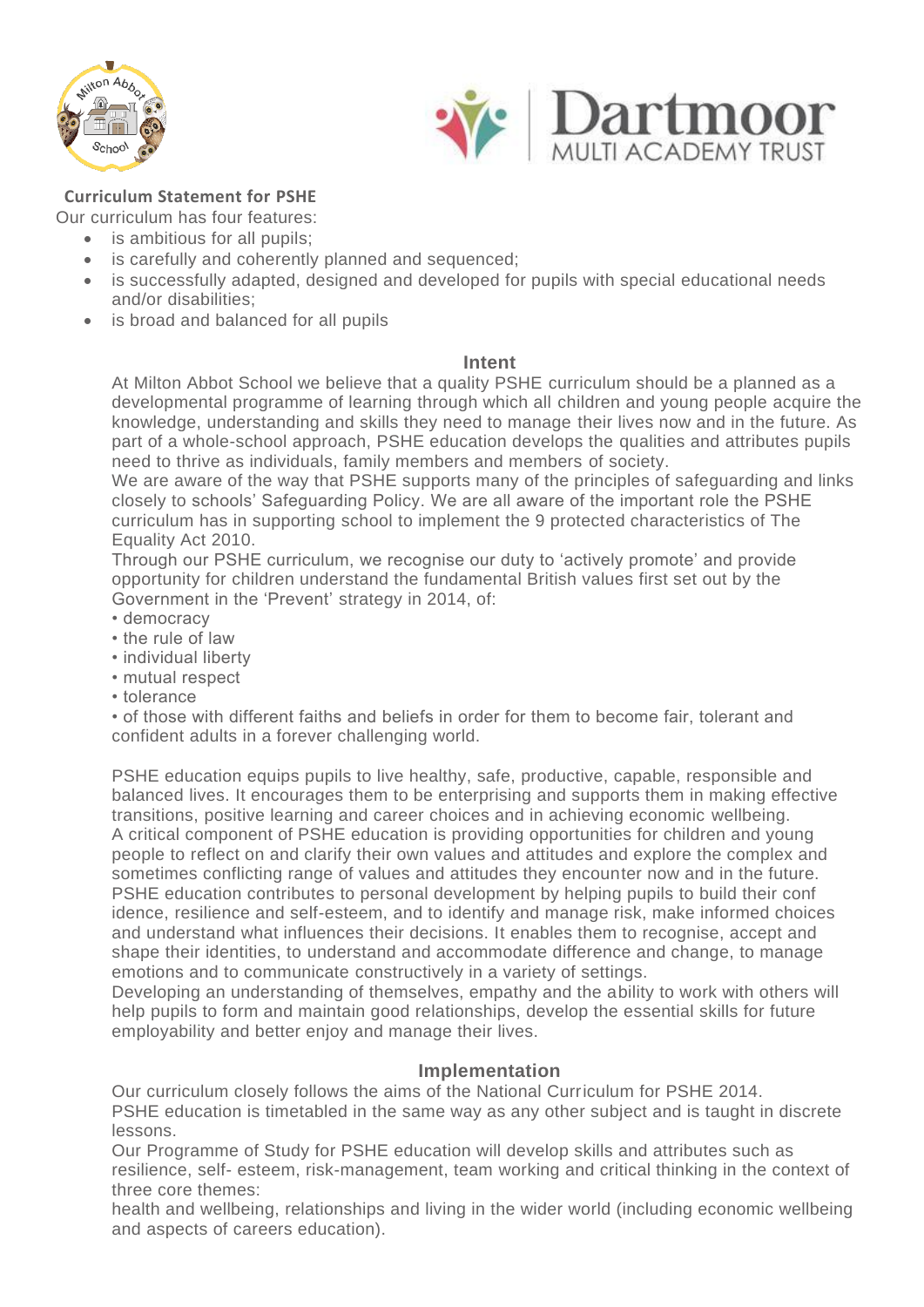



## **Curriculum Statement for PSHE**

Our curriculum has four features:

- is ambitious for all pupils;
- is carefully and coherently planned and sequenced;
- is successfully adapted, designed and developed for pupils with special educational needs and/or disabilities;
- is broad and balanced for all pupils

## **Intent**

At Milton Abbot School we believe that a quality PSHE curriculum should be a planned as a developmental programme of learning through which all children and young people acquire the knowledge, understanding and skills they need to manage their lives now and in the future. As part of a whole-school approach, PSHE education develops the qualities and attributes pupils need to thrive as individuals, family members and members of society.

We are aware of the way that PSHE supports many of the principles of safeguarding and links closely to schools' Safeguarding Policy. We are all aware of the important role the PSHE curriculum has in supporting school to implement the 9 protected characteristics of The Equality Act 2010.

Through our PSHE curriculum, we recognise our duty to 'actively promote' and provide opportunity for children understand the fundamental British values first set out by the Government in the 'Prevent' strategy in 2014, of:

- democracy
- the rule of law
- individual liberty
- mutual respect
- tolerance

• of those with different faiths and beliefs in order for them to become fair, tolerant and confident adults in a forever challenging world.

PSHE education equips pupils to live healthy, safe, productive, capable, responsible and balanced lives. It encourages them to be enterprising and supports them in making effective transitions, positive learning and career choices and in achieving economic wellbeing. A critical component of PSHE education is providing opportunities for children and young people to reflect on and clarify their own values and attitudes and explore the complex and sometimes conflicting range of values and attitudes they encounter now and in the future. PSHE education contributes to personal development by helping pupils to build their conf idence, resilience and self-esteem, and to identify and manage risk, make informed choices and understand what influences their decisions. It enables them to recognise, accept and shape their identities, to understand and accommodate difference and change, to manage emotions and to communicate constructively in a variety of settings.

Developing an understanding of themselves, empathy and the ability to work with others will help pupils to form and maintain good relationships, develop the essential skills for future employability and better enjoy and manage their lives.

## **Implementation**

Our curriculum closely follows the aims of the National Curriculum for PSHE 2014. PSHE education is timetabled in the same way as any other subject and is taught in discrete lessons.

Our Programme of Study for PSHE education will develop skills and attributes such as resilience, self- esteem, risk-management, team working and critical thinking in the context of three core themes:

health and wellbeing, relationships and living in the wider world (including economic wellbeing and aspects of careers education).